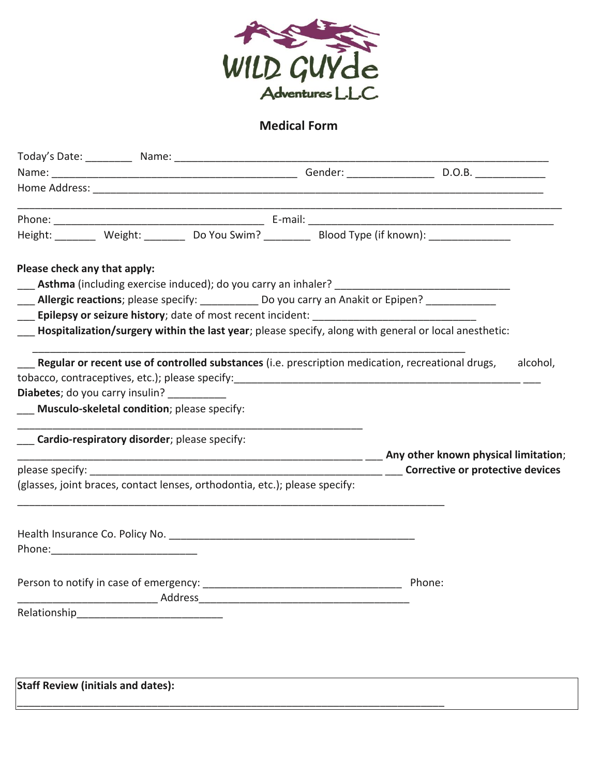

## **Medical Form**

|                                              | <u> 1980 - Johann John Stone, markin amerikan basar dan berkembang di banyak di banyak di banyak di banyak di ba</u> |                                                                                                       |          |
|----------------------------------------------|----------------------------------------------------------------------------------------------------------------------|-------------------------------------------------------------------------------------------------------|----------|
|                                              |                                                                                                                      | Height: ________ Weight: _______ Do You Swim? ________ Blood Type (if known): ______________          |          |
| Please check any that apply:                 |                                                                                                                      |                                                                                                       |          |
|                                              |                                                                                                                      |                                                                                                       |          |
|                                              | ___ Allergic reactions; please specify: ___________ Do you carry an Anakit or Epipen? _____________                  |                                                                                                       |          |
|                                              | Epilepsy or seizure history; date of most recent incident: ______________________                                    |                                                                                                       |          |
|                                              |                                                                                                                      | Hospitalization/surgery within the last year; please specify, along with general or local anesthetic: |          |
|                                              | Regular or recent use of controlled substances (i.e. prescription medication, recreational drugs,                    |                                                                                                       | alcohol, |
| Diabetes; do you carry insulin? __________   |                                                                                                                      |                                                                                                       |          |
| Musculo-skeletal condition; please specify:  |                                                                                                                      |                                                                                                       |          |
|                                              |                                                                                                                      |                                                                                                       |          |
| Cardio-respiratory disorder; please specify: |                                                                                                                      |                                                                                                       |          |
|                                              |                                                                                                                      |                                                                                                       |          |
|                                              | (glasses, joint braces, contact lenses, orthodontia, etc.); please specify:                                          |                                                                                                       |          |
|                                              |                                                                                                                      |                                                                                                       |          |
|                                              |                                                                                                                      |                                                                                                       |          |
|                                              |                                                                                                                      |                                                                                                       |          |
| Person to notify in case of emergency:       |                                                                                                                      | Phone:                                                                                                |          |
|                                              | Address and the contract of the contract of the contract of the contract of the contract of the contract of the      |                                                                                                       |          |
|                                              |                                                                                                                      |                                                                                                       |          |
|                                              |                                                                                                                      |                                                                                                       |          |
|                                              |                                                                                                                      |                                                                                                       |          |
|                                              |                                                                                                                      |                                                                                                       |          |
| <b>Staff Review (initials and dates):</b>    |                                                                                                                      |                                                                                                       |          |
|                                              |                                                                                                                      |                                                                                                       |          |
|                                              |                                                                                                                      |                                                                                                       |          |
|                                              |                                                                                                                      |                                                                                                       |          |